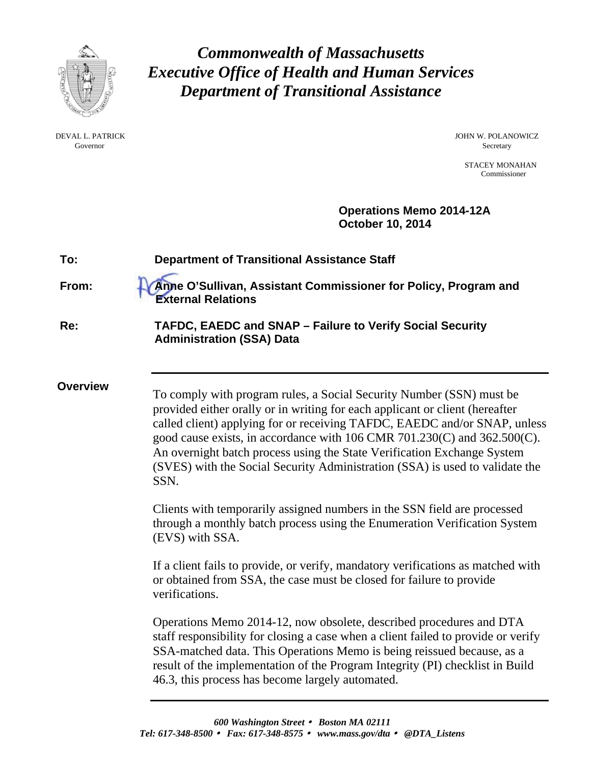

Governor Secretary Secretary Secretary Secretary Secretary Secretary Secretary Secretary Secretary Secretary Secretary Secretary Secretary Secretary Secretary Secretary Secretary Secretary Secretary Secretary Secretary Sec

*Commonwealth of Massachusetts Executive Office of Health and Human Services Department of Transitional Assistance* 

DEVAL L. PATRICK JOHN W. POLANOWICZ

 STACEY MONAHAN Commissioner

 **Operations Memo 2014-12A October 10, 2014** 

| To:             | <b>Department of Transitional Assistance Staff</b>                                                                                                                                                                                                                                                                                                                                                                                                                                  |
|-----------------|-------------------------------------------------------------------------------------------------------------------------------------------------------------------------------------------------------------------------------------------------------------------------------------------------------------------------------------------------------------------------------------------------------------------------------------------------------------------------------------|
| From:           | Anne O'Sullivan, Assistant Commissioner for Policy, Program and<br><b>External Relations</b>                                                                                                                                                                                                                                                                                                                                                                                        |
| Re:             | TAFDC, EAEDC and SNAP - Failure to Verify Social Security<br><b>Administration (SSA) Data</b>                                                                                                                                                                                                                                                                                                                                                                                       |
| <b>Overview</b> | To comply with program rules, a Social Security Number (SSN) must be<br>provided either orally or in writing for each applicant or client (hereafter<br>called client) applying for or receiving TAFDC, EAEDC and/or SNAP, unless<br>good cause exists, in accordance with 106 CMR 701.230(C) and $362.500(C)$ .<br>An overnight batch process using the State Verification Exchange System<br>(SVES) with the Social Security Administration (SSA) is used to validate the<br>SSN. |
|                 | Clients with temporarily assigned numbers in the SSN field are processed<br>through a monthly batch process using the Enumeration Verification System<br>(EVS) with SSA.                                                                                                                                                                                                                                                                                                            |
|                 | If a client fails to provide, or verify, mandatory verifications as matched with<br>or obtained from SSA, the case must be closed for failure to provide<br>verifications.                                                                                                                                                                                                                                                                                                          |
|                 | Operations Memo 2014-12, now obsolete, described procedures and DTA<br>staff responsibility for closing a case when a client failed to provide or verify<br>SSA-matched data. This Operations Memo is being reissued because, as a<br>result of the implementation of the Program Integrity (PI) checklist in Build<br>46.3, this process has become largely automated.                                                                                                             |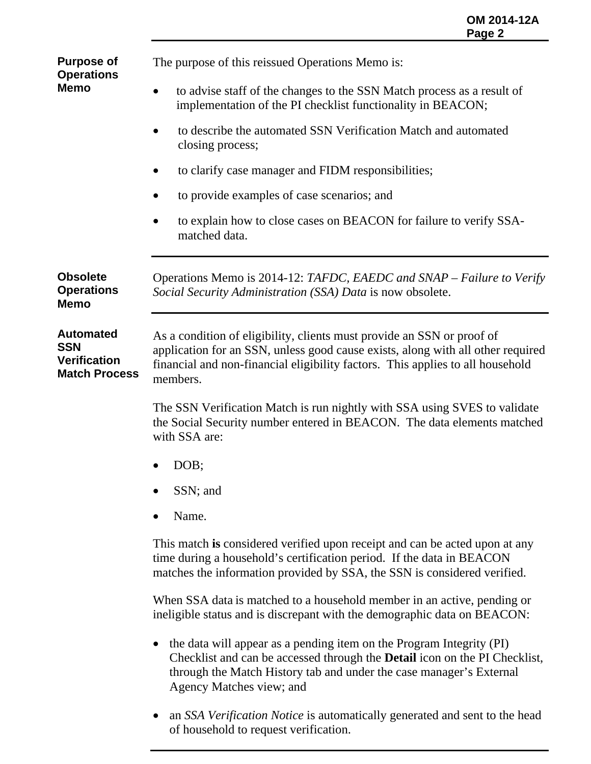**Purpose of Operations Memo** 

**Automated** 

**SSN** 

The purpose of this reissued Operations Memo is:

- to advise staff of the changes to the SSN Match process as a result of implementation of the PI checklist functionality in BEACON;
- to describe the automated SSN Verification Match and automated closing process;
- to clarify case manager and FIDM responsibilities;
- to provide examples of case scenarios; and
- to explain how to close cases on BEACON for failure to verify SSAmatched data.

**Obsolete Operations Memo** Operations Memo is 2014-12: *TAFDC, EAEDC and SNAP – Failure to Verify Social Security Administration (SSA) Data* is now obsolete.

**Verification Match Process** As a condition of eligibility, clients must provide an SSN or proof of application for an SSN, unless good cause exists, along with all other required financial and non-financial eligibility factors. This applies to all household members.

> The SSN Verification Match is run nightly with SSA using SVES to validate the Social Security number entered in BEACON. The data elements matched with SSA are:

- DOB;
- SSN; and
- Name.

This match **is** considered verified upon receipt and can be acted upon at any time during a household's certification period. If the data in BEACON matches the information provided by SSA, the SSN is considered verified.

When SSA data is matched to a household member in an active, pending or ineligible status and is discrepant with the demographic data on BEACON:

- the data will appear as a pending item on the Program Integrity (PI) Checklist and can be accessed through the **Detail** icon on the PI Checklist, through the Match History tab and under the case manager's External Agency Matches view; and
- an *SSA Verification Notice* is automatically generated and sent to the head of household to request verification.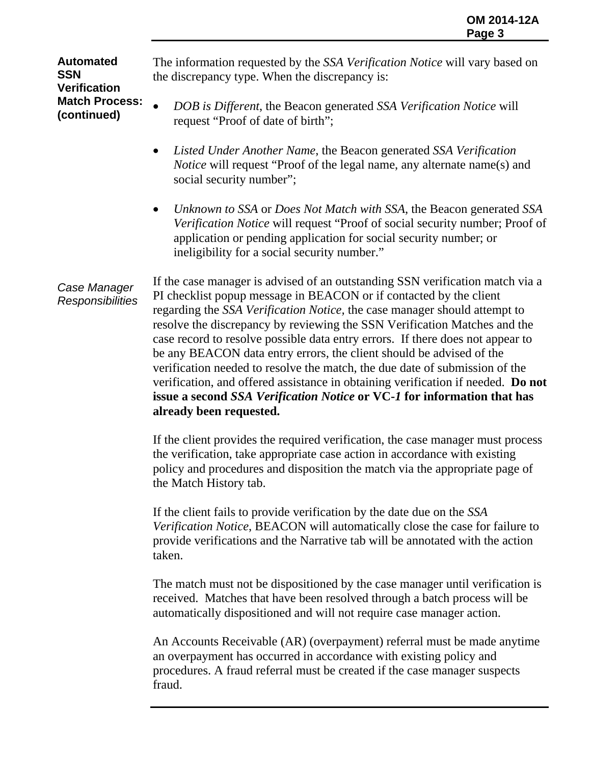**Automated SSN Verification Match Process: (continued)** 

The information requested by the *SSA Verification Notice* will vary based on the discrepancy type. When the discrepancy is:

- *DOB is Different*, the Beacon generated *SSA Verification Notice* will request "Proof of date of birth";
- *Listed Under Another Name*, the Beacon generated *SSA Verification Notice* will request "Proof of the legal name, any alternate name(s) and social security number";
- *Unknown to SSA* or *Does Not Match with SSA*, the Beacon generated *SSA Verification Notice* will request "Proof of social security number; Proof of application or pending application for social security number; or ineligibility for a social security number."

*Case Manager Responsibilities*  If the case manager is advised of an outstanding SSN verification match via a PI checklist popup message in BEACON or if contacted by the client regarding the *SSA Verification Notice,* the case manager should attempt to resolve the discrepancy by reviewing the SSN Verification Matches and the case record to resolve possible data entry errors. If there does not appear to be any BEACON data entry errors, the client should be advised of the verification needed to resolve the match, the due date of submission of the verification, and offered assistance in obtaining verification if needed. **Do not issue a second** *SSA Verification Notice* **or VC-***1* **for information that has already been requested.**

> If the client provides the required verification, the case manager must process the verification, take appropriate case action in accordance with existing policy and procedures and disposition the match via the appropriate page of the Match History tab.

> If the client fails to provide verification by the date due on the *SSA Verification Notice*, BEACON will automatically close the case for failure to provide verifications and the Narrative tab will be annotated with the action taken.

> The match must not be dispositioned by the case manager until verification is received. Matches that have been resolved through a batch process will be automatically dispositioned and will not require case manager action.

> An Accounts Receivable (AR) (overpayment) referral must be made anytime an overpayment has occurred in accordance with existing policy and procedures. A fraud referral must be created if the case manager suspects fraud.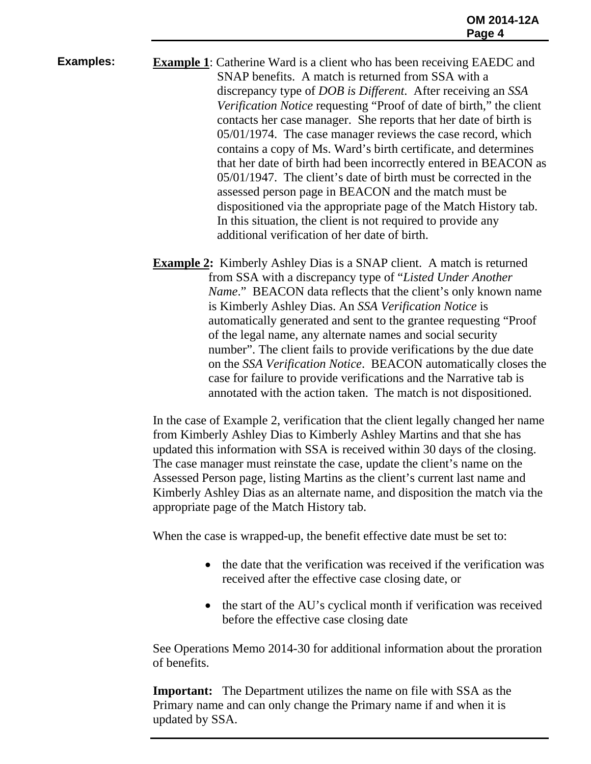**Examples: Example 1**: Catherine Ward is a client who has been receiving EAEDC and SNAP benefits. A match is returned from SSA with a discrepancy type of *DOB is Different*. After receiving an *SSA Verification Notice* requesting "Proof of date of birth," the client contacts her case manager. She reports that her date of birth is 05/01/1974. The case manager reviews the case record, which contains a copy of Ms. Ward's birth certificate, and determines that her date of birth had been incorrectly entered in BEACON as 05/01/1947. The client's date of birth must be corrected in the assessed person page in BEACON and the match must be dispositioned via the appropriate page of the Match History tab. In this situation, the client is not required to provide any additional verification of her date of birth.

> **Example 2:** Kimberly Ashley Dias is a SNAP client. A match is returned from SSA with a discrepancy type of "*Listed Under Another Name.*" BEACON data reflects that the client's only known name is Kimberly Ashley Dias. An *SSA Verification Notice* is automatically generated and sent to the grantee requesting "Proof of the legal name, any alternate names and social security number". The client fails to provide verifications by the due date on the *SSA Verification Notice*. BEACON automatically closes the case for failure to provide verifications and the Narrative tab is annotated with the action taken. The match is not dispositioned.

> In the case of Example 2, verification that the client legally changed her name from Kimberly Ashley Dias to Kimberly Ashley Martins and that she has updated this information with SSA is received within 30 days of the closing. The case manager must reinstate the case, update the client's name on the Assessed Person page, listing Martins as the client's current last name and Kimberly Ashley Dias as an alternate name, and disposition the match via the appropriate page of the Match History tab.

When the case is wrapped-up, the benefit effective date must be set to:

- the date that the verification was received if the verification was received after the effective case closing date, or
- the start of the AU's cyclical month if verification was received before the effective case closing date

See Operations Memo 2014-30 for additional information about the proration of benefits.

**Important:** The Department utilizes the name on file with SSA as the Primary name and can only change the Primary name if and when it is updated by SSA.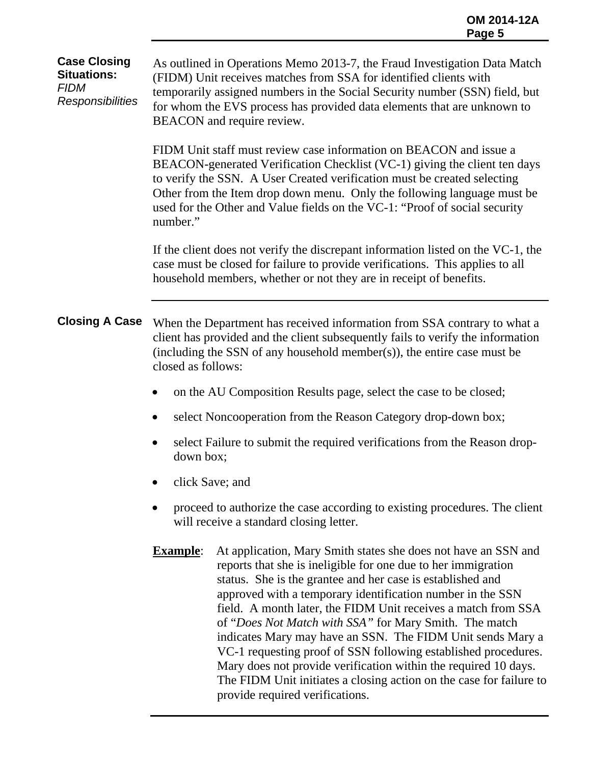## **Case Closing Situations:**  *FIDM Responsibilities*  As outlined in Operations Memo 2013-7, the Fraud Investigation Data Match (FIDM) Unit receives matches from SSA for identified clients with temporarily assigned numbers in the Social Security number (SSN) field, but for whom the EVS process has provided data elements that are unknown to BEACON and require review. FIDM Unit staff must review case information on BEACON and issue a BEACON-generated Verification Checklist (VC-1) giving the client ten days to verify the SSN. A User Created verification must be created selecting Other from the Item drop down menu. Only the following language must be used for the Other and Value fields on the VC-1: "Proof of social security number." If the client does not verify the discrepant information listed on the VC-1, the case must be closed for failure to provide verifications. This applies to all household members, whether or not they are in receipt of benefits. **Closing A Case** When the Department has received information from SSA contrary to what a client has provided and the client subsequently fails to verify the information (including the SSN of any household member(s)), the entire case must be closed as follows: on the AU Composition Results page, select the case to be closed; • select Noncooperation from the Reason Category drop-down box; • select Failure to submit the required verifications from the Reason dropdown box; click Save; and

- proceed to authorize the case according to existing procedures. The client will receive a standard closing letter.
- **Example**: At application, Mary Smith states she does not have an SSN and reports that she is ineligible for one due to her immigration status. She is the grantee and her case is established and approved with a temporary identification number in the SSN field. A month later, the FIDM Unit receives a match from SSA of "*Does Not Match with SSA"* for Mary Smith. The match indicates Mary may have an SSN. The FIDM Unit sends Mary a VC-1 requesting proof of SSN following established procedures. Mary does not provide verification within the required 10 days. The FIDM Unit initiates a closing action on the case for failure to provide required verifications.